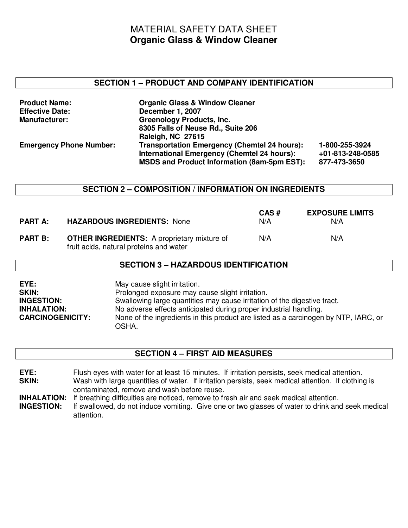# MATERIAL SAFETY DATA SHEET **Organic Glass & Window Cleaner**

#### **SECTION 1 – PRODUCT AND COMPANY IDENTIFICATION**

| <b>Product Name:</b>           | <b>Organic Glass &amp; Window Cleaner</b>           |                  |
|--------------------------------|-----------------------------------------------------|------------------|
| <b>Effective Date:</b>         | December 1, 2007                                    |                  |
| Manufacturer:                  | <b>Greenology Products, Inc.</b>                    |                  |
|                                | 8305 Falls of Neuse Rd., Suite 206                  |                  |
|                                | <b>Raleigh, NC 27615</b>                            |                  |
| <b>Emergency Phone Number:</b> | <b>Transportation Emergency (Chemtel 24 hours):</b> | 1-800-255-3924   |
|                                | International Emergency (Chemtel 24 hours):         | +01-813-248-0585 |
|                                | <b>MSDS and Product Information (8am-5pm EST):</b>  | 877-473-3650     |

#### **SECTION 2 – COMPOSITION / INFORMATION ON INGREDIENTS**

| <b>PART A:</b> | <b>HAZARDOUS INGREDIENTS: None</b>                                                            | CAS#<br>N/A | <b>EXPOSURE LIMITS</b><br>N/A |
|----------------|-----------------------------------------------------------------------------------------------|-------------|-------------------------------|
| <b>PART B:</b> | <b>OTHER INGREDIENTS:</b> A proprietary mixture of<br>fruit acids, natural proteins and water | N/A         | N/A                           |

#### **SECTION 3 – HAZARDOUS IDENTIFICATION**

| EYE:                    | May cause slight irritation.                                                                 |
|-------------------------|----------------------------------------------------------------------------------------------|
| <b>SKIN:</b>            | Prolonged exposure may cause slight irritation.                                              |
| <b>INGESTION:</b>       | Swallowing large quantities may cause irritation of the digestive tract.                     |
| <b>INHALATION:</b>      | No adverse effects anticipated during proper industrial handling.                            |
| <b>CARCINOGENICITY:</b> | None of the ingredients in this product are listed as a carcinogen by NTP, IARC, or<br>OSHA. |

# **SECTION 4 – FIRST AID MEASURES**

- **EYE:** Flush eyes with water for at least 15 minutes. If irritation persists, seek medical attention. **SKIN:** Wash with large quantities of water. If irritation persists, seek medical attention. If clothing is contaminated, remove and wash before reuse.
- **INHALATION:** If breathing difficulties are noticed, remove to fresh air and seek medical attention.<br>**INGESTION:** If swallowed, do not induce vomiting. Give one or two glasses of water to drink and
- If swallowed, do not induce vomiting. Give one or two glasses of water to drink and seek medical attention.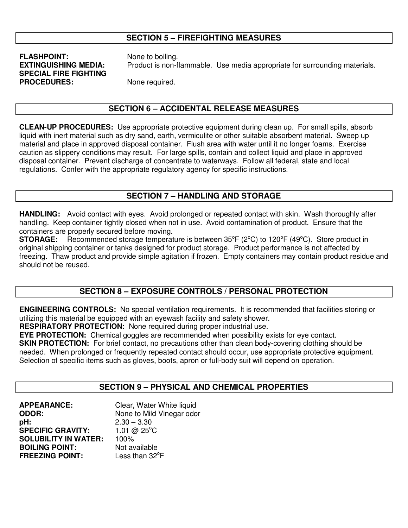# **SECTION 5 – FIREFIGHTING MEASURES**

# **FLASHPOINT:** None to boiling. **SPECIAL FIRE FIGHTING PROCEDURES:** None required.

**EXTINGUISHING MEDIA:** Product is non-flammable. Use media appropriate for surrounding materials.

#### **SECTION 6 – ACCIDENTAL RELEASE MEASURES**

**CLEAN-UP PROCEDURES:** Use appropriate protective equipment during clean up. For small spills, absorb liquid with inert material such as dry sand, earth, vermiculite or other suitable absorbent material. Sweep up material and place in approved disposal container. Flush area with water until it no longer foams. Exercise caution as slippery conditions may result. For large spills, contain and collect liquid and place in approved disposal container. Prevent discharge of concentrate to waterways. Follow all federal, state and local regulations. Confer with the appropriate regulatory agency for specific instructions.

# **SECTION 7 – HANDLING AND STORAGE**

**HANDLING:** Avoid contact with eyes. Avoid prolonged or repeated contact with skin. Wash thoroughly after handling. Keep container tightly closed when not in use. Avoid contamination of product. Ensure that the containers are properly secured before moving.

**STORAGE:** Recommended storage temperature is between 35°F (2°C) to 120°F (49°C). Store product in original shipping container or tanks designed for product storage. Product performance is not affected by freezing. Thaw product and provide simple agitation if frozen. Empty containers may contain product residue and should not be reused.

# **SECTION 8 – EXPOSURE CONTROLS / PERSONAL PROTECTION**

**ENGINEERING CONTROLS:** No special ventilation requirements. It is recommended that facilities storing or utilizing this material be equipped with an eyewash facility and safety shower.

**RESPIRATORY PROTECTION:** None required during proper industrial use.

**EYE PROTECTION:** Chemical goggles are recommended when possibility exists for eye contact.

**SKIN PROTECTION:** For brief contact, no precautions other than clean body-covering clothing should be needed. When prolonged or frequently repeated contact should occur, use appropriate protective equipment. Selection of specific items such as gloves, boots, apron or full-body suit will depend on operation.

# **SECTION 9 – PHYSICAL AND CHEMICAL PROPERTIES**

**APPEARANCE:** Clear, Water White liquid **ODOR:** None to Mild Vinegar odor **pH:** 2.30 – 3.30<br>**SPECIFIC GRAVITY:** 1.01 @ 25°C **SPECIFIC GRAVITY: SOLUBILITY IN WATER:** 100% **BOILING POINT:** Not available<br> **FREEZING POINT:** Less than 32<sup>°</sup>F **FREEZING POINT:**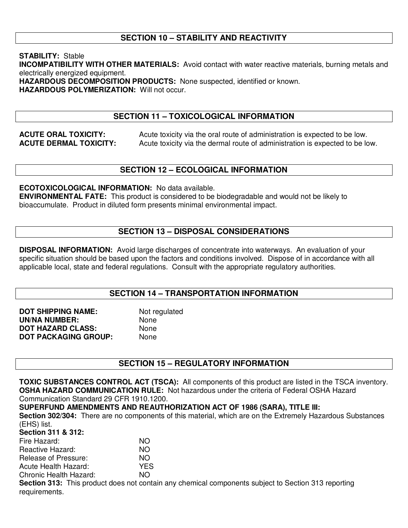# **SECTION 10 – STABILITY AND REACTIVITY**

**STABILITY:** Stable **INCOMPATIBILITY WITH OTHER MATERIALS:** Avoid contact with water reactive materials, burning metals and electrically energized equipment. **HAZARDOUS DECOMPOSITION PRODUCTS:** None suspected, identified or known. **HAZARDOUS POLYMERIZATION:** Will not occur.

# **SECTION 11 – TOXICOLOGICAL INFORMATION**

**ACUTE ORAL TOXICITY:** Acute toxicity via the oral route of administration is expected to be low. **ACUTE DERMAL TOXICITY:** Acute toxicity via the dermal route of administration is expected to be low.

# **SECTION 12 – ECOLOGICAL INFORMATION**

**ECOTOXICOLOGICAL INFORMATION:** No data available.

**ENVIRONMENTAL FATE:** This product is considered to be biodegradable and would not be likely to bioaccumulate. Product in diluted form presents minimal environmental impact.

# **SECTION 13 – DISPOSAL CONSIDERATIONS**

**DISPOSAL INFORMATION:** Avoid large discharges of concentrate into waterways. An evaluation of your specific situation should be based upon the factors and conditions involved. Dispose of in accordance with all applicable local, state and federal regulations. Consult with the appropriate regulatory authorities.

#### **SECTION 14 – TRANSPORTATION INFORMATION**

| <b>DOT SHIPPING NAME:</b>   | Not regulated |
|-----------------------------|---------------|
| <b>UN/NA NUMBER:</b>        | None          |
| <b>DOT HAZARD CLASS:</b>    | <b>None</b>   |
| <b>DOT PACKAGING GROUP:</b> | None          |

#### **SECTION 15 – REGULATORY INFORMATION**

**TOXIC SUBSTANCES CONTROL ACT (TSCA):** All components of this product are listed in the TSCA inventory. **OSHA HAZARD COMMUNICATION RULE:** Not hazardous under the criteria of Federal OSHA Hazard Communication Standard 29 CFR 1910.1200.

#### **SUPERFUND AMENDMENTS AND REAUTHORIZATION ACT OF 1986 (SARA), TITLE III:**

**Section 302/304:** There are no components of this material, which are on the Extremely Hazardous Substances (EHS) list.

#### **Section 311 & 312:**

| Fire Hazard:           | NO.                                                                                                 |
|------------------------|-----------------------------------------------------------------------------------------------------|
| Reactive Hazard:       | NO.                                                                                                 |
| Release of Pressure:   | NO.                                                                                                 |
| Acute Health Hazard:   | YFS.                                                                                                |
| Chronic Health Hazard: | NΟ                                                                                                  |
|                        | Section 313: This product does not contain any chemical components subject to Section 313 reporting |
| requirements.          |                                                                                                     |